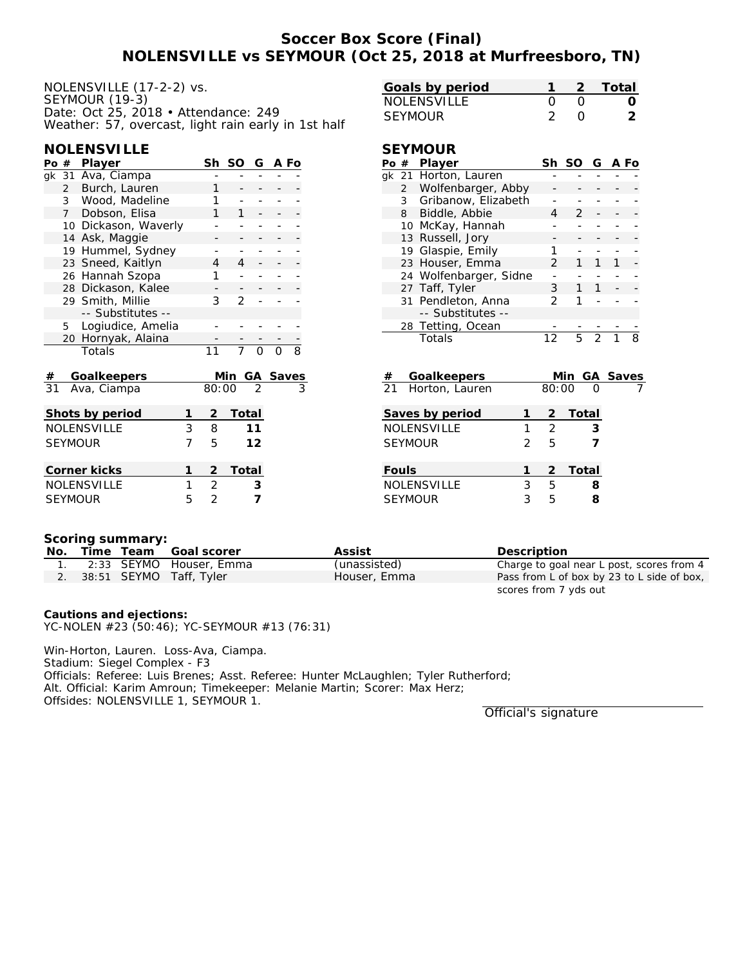# **Soccer Box Score (Final) NOLENSVILLE vs SEYMOUR (Oct 25, 2018 at Murfreesboro, TN)**

| NOLENSVILLE (17-2-2) vs.                            |
|-----------------------------------------------------|
| SEYMOUR (19-3)                                      |
| Date: Oct 25, 2018 • Attendance: 249                |
| Weather: 57, overcast, light rain early in 1st half |

### **NOLENSVILLE**

| Po #            |                                 | Player             |                | Sh    | SO            | G              | A Fo     |                |
|-----------------|---------------------------------|--------------------|----------------|-------|---------------|----------------|----------|----------------|
|                 |                                 | gk 31 Ava, Ciampa  |                |       |               |                |          |                |
|                 | Burch, Lauren<br>$\overline{2}$ |                    |                |       |               |                |          |                |
|                 | 3                               | Wood, Madeline     | 1              |       |               |                |          |                |
|                 | $7^{\circ}$                     | Dobson, Elisa      |                | 1     | 1             |                |          |                |
|                 | 10                              | Dickason, Waverly  |                |       |               |                |          |                |
|                 |                                 | 14 Ask, Maggie     |                |       |               |                |          |                |
|                 |                                 | 19 Hummel, Sydney  |                |       |               |                |          |                |
|                 |                                 | 23 Sneed, Kaitlyn  |                | 4     | 4             |                |          |                |
|                 |                                 | 26 Hannah Szopa    |                | 1     |               |                |          |                |
|                 |                                 | 28 Dickason, Kalee |                |       | -             |                |          |                |
|                 |                                 | 29 Smith, Millie   |                | 3     | $\mathcal{P}$ |                |          |                |
|                 |                                 | -- Substitutes --  |                |       |               |                |          |                |
|                 | 5                               | Logiudice, Amelia  |                |       |               |                |          |                |
|                 | 20                              | Hornyak, Alaina    |                |       |               |                |          |                |
|                 |                                 | Totals             |                | 11    |               | $\Omega$       |          | $\overline{8}$ |
|                 |                                 |                    |                |       |               |                |          |                |
| #               |                                 | Goalkeepers        |                |       | Min           |                | GA Saves |                |
| $\overline{3}1$ |                                 | Ava, Ciampa        |                | 80:00 |               | $\overline{2}$ |          |                |
|                 |                                 |                    |                |       |               |                |          |                |
|                 |                                 | Shots by period    | 1              | 2     | Total         |                |          |                |
|                 |                                 | <b>NOLENSVILLE</b> | 3              | 8     |               | 11             |          |                |
|                 |                                 | <b>SEYMOUR</b>     | 7              | 5     |               | 12             |          |                |
|                 |                                 |                    |                |       |               |                |          |                |
|                 |                                 | Corner kicks       | $\overline{2}$ | Total |               |                |          |                |
|                 |                                 | NOLENSVILLE        | $\overline{2}$ |       | 3             |                |          |                |
|                 |                                 | <b>SEYMOUR</b>     | 2              |       | 7             |                |          |                |

| Goals by period |  | - 2 - Total |
|-----------------|--|-------------|
| NOLENSVILLE     |  |             |
| SEYMOUR         |  |             |

### **SEYMOUR**

| Po | # | Player                 |    | Sh SO G A Fo |   |  |
|----|---|------------------------|----|--------------|---|--|
|    |   | gk 21 Horton, Lauren   |    |              |   |  |
|    |   | 2 Wolfenbarger, Abby   |    |              |   |  |
|    | 3 | Gribanow, Elizabeth    |    |              |   |  |
|    |   | 8 Biddle, Abbie        | Δ  | 2            |   |  |
|    |   | 10 McKay, Hannah       |    |              |   |  |
|    |   | 13 Russell, Jory       |    |              |   |  |
|    |   | 19 Glaspie, Emily      |    |              |   |  |
|    |   | 23 Houser, Emma        | 2  | 1            |   |  |
|    |   | 24 Wolfenbarger, Sidne |    |              |   |  |
|    |   | 27 Taff, Tyler         | 3  | 1            |   |  |
|    |   | 31 Pendleton, Anna     | 2  |              |   |  |
|    |   | -- Substitutes --      |    |              |   |  |
|    |   | 28 Tetting, Ocean      |    |              |   |  |
|    |   | Totals                 | 12 |              | っ |  |

| #     | Goalkeepers        |               |               | Min GA Saves |  |
|-------|--------------------|---------------|---------------|--------------|--|
|       | 21 Horton, Lauren  |               | 80:00         | ∩            |  |
|       | Saves by period    |               | 2             | Total        |  |
|       | <b>NOLENSVILLE</b> |               | $\mathcal{L}$ | 3            |  |
|       | <b>SEYMOUR</b>     | $\mathcal{P}$ | 5             |              |  |
| Fouls |                    |               |               | 2 Total      |  |
|       | <b>NOLENSVILLE</b> | 3             | 5             | 8            |  |
|       | <b>SEYMOUR</b>     | 3             | 5             |              |  |

#### **Scoring summary:**

| No. |  | Time Team Goal scorer      | Assist       | Description                                |
|-----|--|----------------------------|--------------|--------------------------------------------|
|     |  | 2:33 SEYMO Houser, Emma    | (unassisted) | Charge to goal near L post, scores from 4  |
|     |  | 2. 38:51 SEYMO Taff, Tyler | Houser, Emma | Pass from L of box by 23 to L side of box, |
|     |  |                            |              | scores from 7 yds out                      |

 $\overline{a}$ 

**Cautions and ejections:** YC-NOLEN #23 (50:46); YC-SEYMOUR #13 (76:31)

Win-Horton, Lauren. Loss-Ava, Ciampa. Stadium: Siegel Complex - F3 Officials: Referee: Luis Brenes; Asst. Referee: Hunter McLaughlen; Tyler Rutherford; Alt. Official: Karim Amroun; Timekeeper: Melanie Martin; Scorer: Max Herz; Offsides: NOLENSVILLE 1, SEYMOUR 1.

Official's signature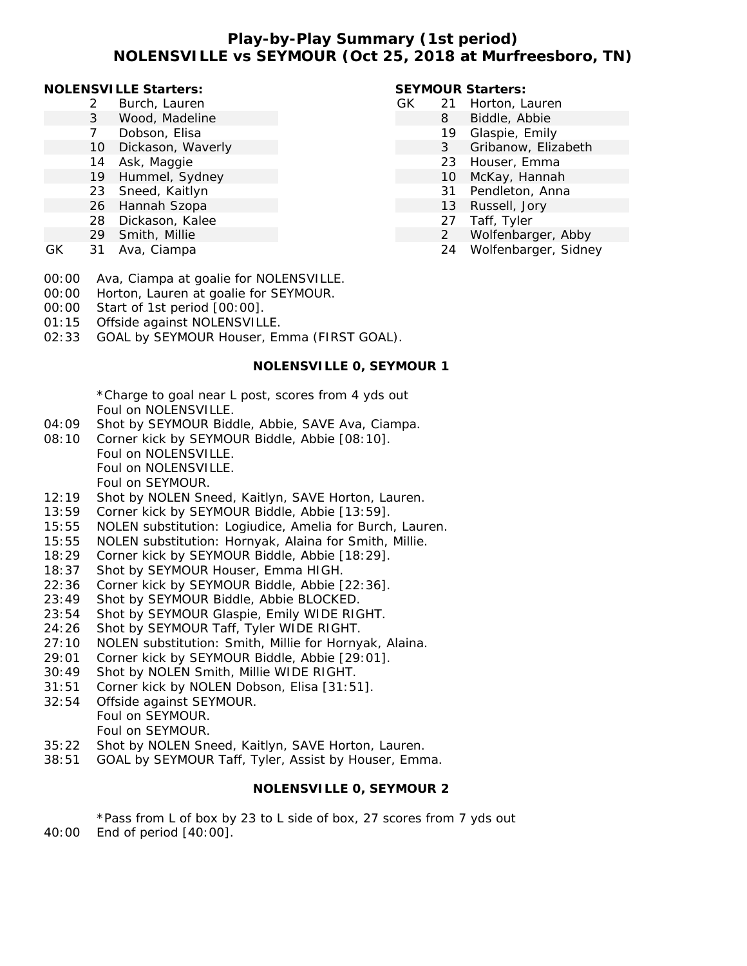## **Play-by-Play Summary (1st period) NOLENSVILLE vs SEYMOUR (Oct 25, 2018 at Murfreesboro, TN)**

#### **NOLENSVILLE Starters:**

- 2 Burch, Lauren
	- 3 Wood, Madeline
- 7 Dobson, Elisa
- 10 Dickason, Waverly
- 14 Ask, Maggie
- 19 Hummel, Sydney
- 23 Sneed, Kaitlyn
- 26 Hannah Szopa
- 28 Dickason, Kalee
- 29 Smith, Millie
- GK 31 Ava, Ciampa
- 00:00 Ava, Ciampa at goalie for NOLENSVILLE.
- 00:00 Horton, Lauren at goalie for SEYMOUR.
- 00:00 Start of 1st period [00:00].
- 01:15 Offside against NOLENSVILLE.
- 02:33 GOAL by SEYMOUR Houser, Emma (FIRST GOAL).

### **NOLENSVILLE 0, SEYMOUR 1**

\*Charge to goal near L post, scores from 4 yds out Foul on NOLENSVILLE.

- 04:09 Shot by SEYMOUR Biddle, Abbie, SAVE Ava, Ciampa.
- 08:10 Corner kick by SEYMOUR Biddle, Abbie [08:10]. Foul on NOLENSVILLE. Foul on NOLENSVILLE. Foul on SEYMOUR.
- 12:19 Shot by NOLEN Sneed, Kaitlyn, SAVE Horton, Lauren.
- 13:59 Corner kick by SEYMOUR Biddle, Abbie [13:59].
- 15:55 NOLEN substitution: Logiudice, Amelia for Burch, Lauren.
- 15:55 NOLEN substitution: Hornyak, Alaina for Smith, Millie.
- 18:29 Corner kick by SEYMOUR Biddle, Abbie [18:29].
- 18:37 Shot by SEYMOUR Houser, Emma HIGH.
- 22:36 Corner kick by SEYMOUR Biddle, Abbie [22:36].
- 23:49 Shot by SEYMOUR Biddle, Abbie BLOCKED.
- 23:54 Shot by SEYMOUR Glaspie, Emily WIDE RIGHT.
- 24:26 Shot by SEYMOUR Taff, Tyler WIDE RIGHT.
- 27:10 NOLEN substitution: Smith, Millie for Hornyak, Alaina.
- 29:01 Corner kick by SEYMOUR Biddle, Abbie [29:01].
- 30:49 Shot by NOLEN Smith, Millie WIDE RIGHT.
- 31:51 Corner kick by NOLEN Dobson, Elisa [31:51].
- 32:54 Offside against SEYMOUR. Foul on SEYMOUR. Foul on SEYMOUR.
- 35:22 Shot by NOLEN Sneed, Kaitlyn, SAVE Horton, Lauren.
- 38:51 GOAL by SEYMOUR Taff, Tyler, Assist by Houser, Emma.

# **NOLENSVILLE 0, SEYMOUR 2**

\*Pass from L of box by 23 to L side of box, 27 scores from 7 yds out 40:00 End of period [40:00].

## **SEYMOUR Starters:**

- GK 21 Horton, Lauren
	- 8 Biddle, Abbie
	- 19 Glaspie, Emily
	- 3 Gribanow, Elizabeth
	- 23 Houser, Emma
	- 10 McKay, Hannah
	- 31 Pendleton, Anna
	- 13 Russell, Jory
	- 27 Taff, Tyler
	- 2 Wolfenbarger, Abby
	- 24 Wolfenbarger, Sidney